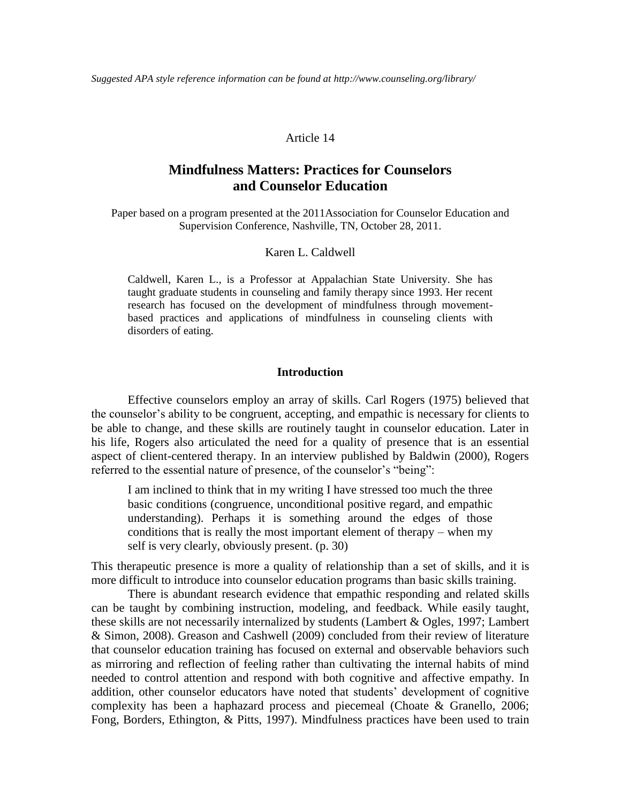### Article 14

# **Mindfulness Matters: Practices for Counselors and Counselor Education**

Paper based on a program presented at the 2011Association for Counselor Education and Supervision Conference, Nashville, TN, October 28, 2011.

# Karen L. Caldwell

Caldwell, Karen L., is a Professor at Appalachian State University. She has taught graduate students in counseling and family therapy since 1993. Her recent research has focused on the development of mindfulness through movementbased practices and applications of mindfulness in counseling clients with disorders of eating.

### **Introduction**

Effective counselors employ an array of skills. Carl Rogers (1975) believed that the counselor's ability to be congruent, accepting, and empathic is necessary for clients to be able to change, and these skills are routinely taught in counselor education. Later in his life, Rogers also articulated the need for a quality of presence that is an essential aspect of client-centered therapy. In an interview published by Baldwin (2000), Rogers referred to the essential nature of presence, of the counselor's "being":

I am inclined to think that in my writing I have stressed too much the three basic conditions (congruence, unconditional positive regard, and empathic understanding). Perhaps it is something around the edges of those conditions that is really the most important element of therapy – when my self is very clearly, obviously present. (p. 30)

This therapeutic presence is more a quality of relationship than a set of skills, and it is more difficult to introduce into counselor education programs than basic skills training.

There is abundant research evidence that empathic responding and related skills can be taught by combining instruction, modeling, and feedback. While easily taught, these skills are not necessarily internalized by students (Lambert & Ogles, 1997; Lambert & Simon, 2008). Greason and Cashwell (2009) concluded from their review of literature that counselor education training has focused on external and observable behaviors such as mirroring and reflection of feeling rather than cultivating the internal habits of mind needed to control attention and respond with both cognitive and affective empathy. In addition, other counselor educators have noted that students' development of cognitive complexity has been a haphazard process and piecemeal (Choate & Granello, 2006; Fong, Borders, Ethington, & Pitts, 1997). Mindfulness practices have been used to train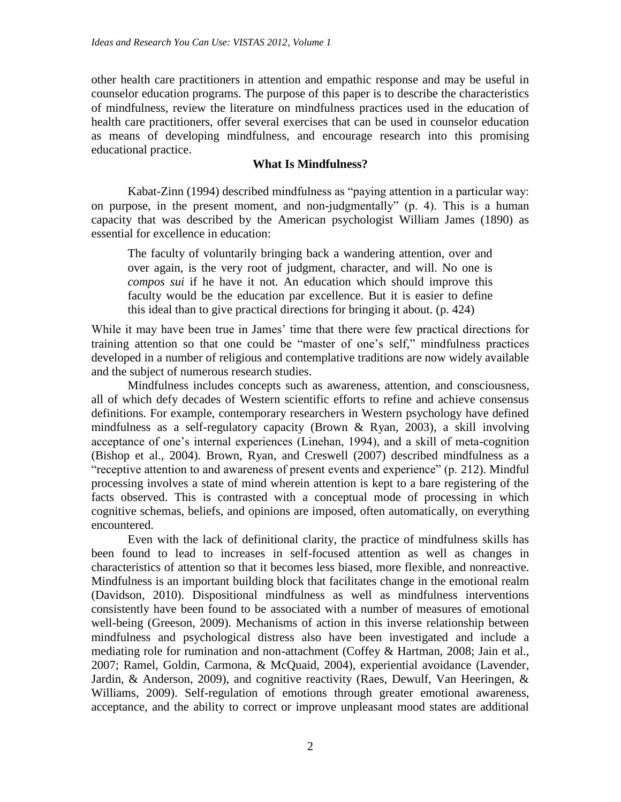other health care practitioners in attention and empathic response and may be useful in counselor education programs. The purpose of this paper is to describe the characteristics of mindfulness, review the literature on mindfulness practices used in the education of health care practitioners, offer several exercises that can be used in counselor education as means of developing mindfulness, and encourage research into this promising educational practice.

# **What Is Mindfulness?**

Kabat-Zinn (1994) described mindfulness as "paying attention in a particular way: on purpose, in the present moment, and non-judgmentally" (p. 4). This is a human capacity that was described by the American psychologist William James (1890) as essential for excellence in education:

The faculty of voluntarily bringing back a wandering attention, over and over again, is the very root of judgment, character, and will. No one is *compos sui* if he have it not. An education which should improve this faculty would be the education par excellence. But it is easier to define this ideal than to give practical directions for bringing it about. (p. 424)

While it may have been true in James' time that there were few practical directions for training attention so that one could be "master of one's self," mindfulness practices developed in a number of religious and contemplative traditions are now widely available and the subject of numerous research studies.

Mindfulness includes concepts such as awareness, attention, and consciousness, all of which defy decades of Western scientific efforts to refine and achieve consensus definitions. For example, contemporary researchers in Western psychology have defined mindfulness as a self-regulatory capacity (Brown & Ryan, 2003), a skill involving acceptance of one's internal experiences (Linehan, 1994), and a skill of meta-cognition (Bishop et al., 2004). Brown, Ryan, and Creswell (2007) described mindfulness as a "receptive attention to and awareness of present events and experience" (p. 212). Mindful processing involves a state of mind wherein attention is kept to a bare registering of the facts observed. This is contrasted with a conceptual mode of processing in which cognitive schemas, beliefs, and opinions are imposed, often automatically, on everything encountered.

Even with the lack of definitional clarity, the practice of mindfulness skills has been found to lead to increases in self-focused attention as well as changes in characteristics of attention so that it becomes less biased, more flexible, and nonreactive. Mindfulness is an important building block that facilitates change in the emotional realm (Davidson, 2010). Dispositional mindfulness as well as mindfulness interventions consistently have been found to be associated with a number of measures of emotional well-being (Greeson, 2009). Mechanisms of action in this inverse relationship between mindfulness and psychological distress also have been investigated and include a mediating role for rumination and non-attachment (Coffey & Hartman, 2008; Jain et al., 2007; Ramel, Goldin, Carmona, & McQuaid, 2004), experiential avoidance (Lavender, Jardin, & Anderson, 2009), and cognitive reactivity (Raes, Dewulf, Van Heeringen, & Williams, 2009). Self-regulation of emotions through greater emotional awareness, acceptance, and the ability to correct or improve unpleasant mood states are additional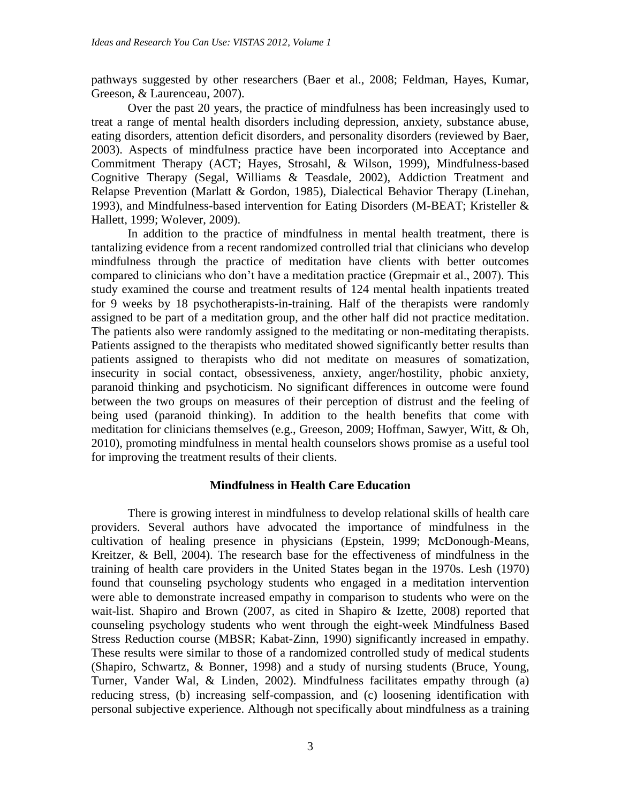pathways suggested by other researchers (Baer et al., 2008; Feldman, Hayes, Kumar, Greeson, & Laurenceau, 2007).

Over the past 20 years, the practice of mindfulness has been increasingly used to treat a range of mental health disorders including depression, anxiety, substance abuse, eating disorders, attention deficit disorders, and personality disorders (reviewed by Baer, 2003). Aspects of mindfulness practice have been incorporated into Acceptance and Commitment Therapy (ACT; Hayes, Strosahl, & Wilson, 1999), Mindfulness-based Cognitive Therapy (Segal, Williams & Teasdale, 2002), Addiction Treatment and Relapse Prevention (Marlatt & Gordon, 1985), Dialectical Behavior Therapy (Linehan, 1993), and Mindfulness-based intervention for Eating Disorders (M-BEAT; Kristeller & Hallett, 1999; Wolever, 2009).

In addition to the practice of mindfulness in mental health treatment, there is tantalizing evidence from a recent randomized controlled trial that clinicians who develop mindfulness through the practice of meditation have clients with better outcomes compared to clinicians who don't have a meditation practice (Grepmair et al., 2007). This study examined the course and treatment results of 124 mental health inpatients treated for 9 weeks by 18 psychotherapists-in-training. Half of the therapists were randomly assigned to be part of a meditation group, and the other half did not practice meditation. The patients also were randomly assigned to the meditating or non-meditating therapists. Patients assigned to the therapists who meditated showed significantly better results than patients assigned to therapists who did not meditate on measures of somatization, insecurity in social contact, obsessiveness, anxiety, anger/hostility, phobic anxiety, paranoid thinking and psychoticism. No significant differences in outcome were found between the two groups on measures of their perception of distrust and the feeling of being used (paranoid thinking). In addition to the health benefits that come with meditation for clinicians themselves (e.g., Greeson, 2009; Hoffman, Sawyer, Witt, & Oh, 2010), promoting mindfulness in mental health counselors shows promise as a useful tool for improving the treatment results of their clients.

# **Mindfulness in Health Care Education**

There is growing interest in mindfulness to develop relational skills of health care providers. Several authors have advocated the importance of mindfulness in the cultivation of healing presence in physicians (Epstein, 1999; McDonough-Means, Kreitzer, & Bell, 2004). The research base for the effectiveness of mindfulness in the training of health care providers in the United States began in the 1970s. Lesh (1970) found that counseling psychology students who engaged in a meditation intervention were able to demonstrate increased empathy in comparison to students who were on the wait-list. Shapiro and Brown (2007, as cited in Shapiro & Izette, 2008) reported that counseling psychology students who went through the eight-week Mindfulness Based Stress Reduction course (MBSR; Kabat-Zinn, 1990) significantly increased in empathy. These results were similar to those of a randomized controlled study of medical students (Shapiro, Schwartz, & Bonner, 1998) and a study of nursing students (Bruce, Young, Turner, Vander Wal, & Linden, 2002). Mindfulness facilitates empathy through (a) reducing stress, (b) increasing self-compassion, and (c) loosening identification with personal subjective experience. Although not specifically about mindfulness as a training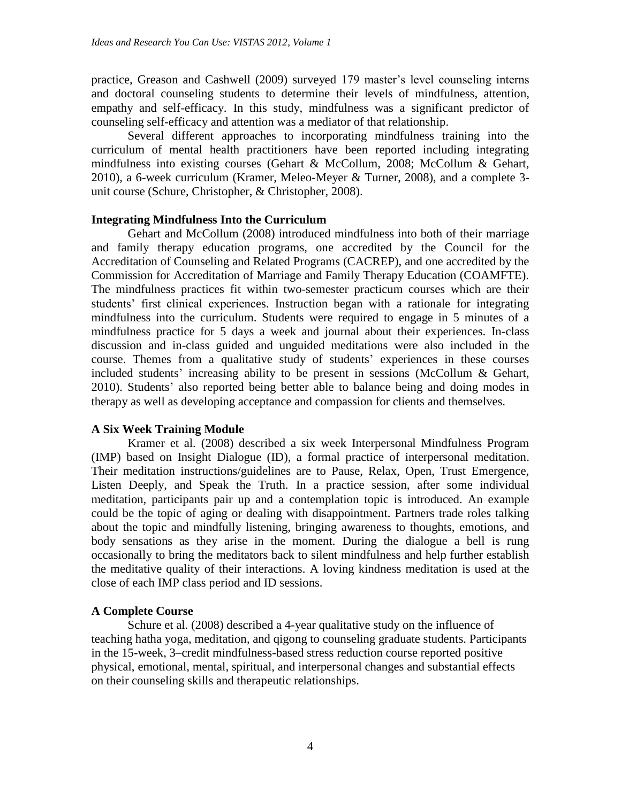practice, Greason and Cashwell (2009) surveyed 179 master's level counseling interns and doctoral counseling students to determine their levels of mindfulness, attention, empathy and self-efficacy. In this study, mindfulness was a significant predictor of counseling self-efficacy and attention was a mediator of that relationship.

Several different approaches to incorporating mindfulness training into the curriculum of mental health practitioners have been reported including integrating mindfulness into existing courses (Gehart & McCollum, 2008; McCollum & Gehart, 2010), a 6-week curriculum (Kramer, Meleo-Meyer & Turner, 2008), and a complete 3 unit course (Schure, Christopher, & Christopher, 2008).

# **Integrating Mindfulness Into the Curriculum**

Gehart and McCollum (2008) introduced mindfulness into both of their marriage and family therapy education programs, one accredited by the Council for the Accreditation of Counseling and Related Programs (CACREP), and one accredited by the Commission for Accreditation of Marriage and Family Therapy Education (COAMFTE). The mindfulness practices fit within two-semester practicum courses which are their students' first clinical experiences. Instruction began with a rationale for integrating mindfulness into the curriculum. Students were required to engage in 5 minutes of a mindfulness practice for 5 days a week and journal about their experiences. In-class discussion and in-class guided and unguided meditations were also included in the course. Themes from a qualitative study of students' experiences in these courses included students' increasing ability to be present in sessions (McCollum & Gehart, 2010). Students' also reported being better able to balance being and doing modes in therapy as well as developing acceptance and compassion for clients and themselves.

# **A Six Week Training Module**

Kramer et al. (2008) described a six week Interpersonal Mindfulness Program (IMP) based on Insight Dialogue (ID), a formal practice of interpersonal meditation. Their meditation instructions/guidelines are to Pause, Relax, Open, Trust Emergence, Listen Deeply, and Speak the Truth. In a practice session, after some individual meditation, participants pair up and a contemplation topic is introduced. An example could be the topic of aging or dealing with disappointment. Partners trade roles talking about the topic and mindfully listening, bringing awareness to thoughts, emotions, and body sensations as they arise in the moment. During the dialogue a bell is rung occasionally to bring the meditators back to silent mindfulness and help further establish the meditative quality of their interactions. A loving kindness meditation is used at the close of each IMP class period and ID sessions.

# **A Complete Course**

Schure et al. (2008) described a 4-year qualitative study on the influence of teaching hatha yoga, meditation, and qigong to counseling graduate students. Participants in the 15-week, 3–credit mindfulness-based stress reduction course reported positive physical, emotional, mental, spiritual, and interpersonal changes and substantial effects on their counseling skills and therapeutic relationships.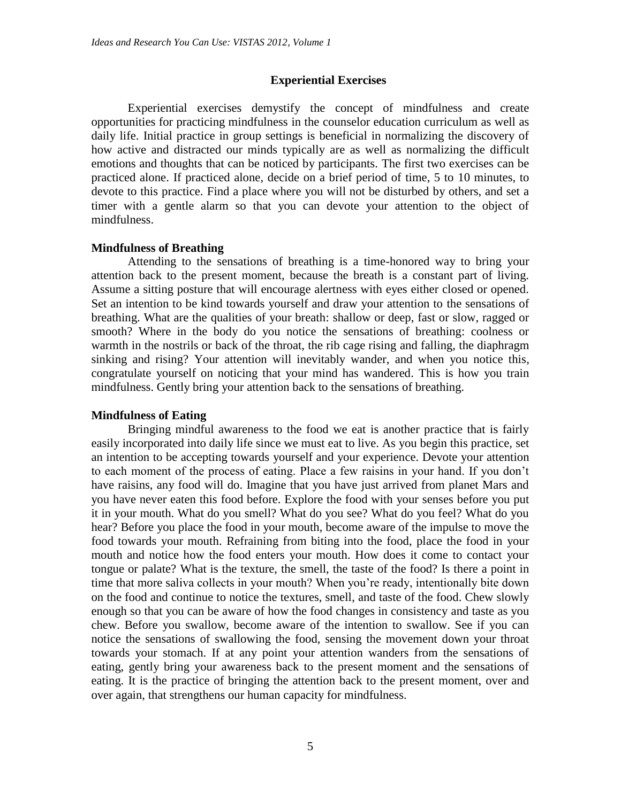# **Experiential Exercises**

Experiential exercises demystify the concept of mindfulness and create opportunities for practicing mindfulness in the counselor education curriculum as well as daily life. Initial practice in group settings is beneficial in normalizing the discovery of how active and distracted our minds typically are as well as normalizing the difficult emotions and thoughts that can be noticed by participants. The first two exercises can be practiced alone. If practiced alone, decide on a brief period of time, 5 to 10 minutes, to devote to this practice. Find a place where you will not be disturbed by others, and set a timer with a gentle alarm so that you can devote your attention to the object of mindfulness.

## **Mindfulness of Breathing**

Attending to the sensations of breathing is a time-honored way to bring your attention back to the present moment, because the breath is a constant part of living. Assume a sitting posture that will encourage alertness with eyes either closed or opened. Set an intention to be kind towards yourself and draw your attention to the sensations of breathing. What are the qualities of your breath: shallow or deep, fast or slow, ragged or smooth? Where in the body do you notice the sensations of breathing: coolness or warmth in the nostrils or back of the throat, the rib cage rising and falling, the diaphragm sinking and rising? Your attention will inevitably wander, and when you notice this, congratulate yourself on noticing that your mind has wandered. This is how you train mindfulness. Gently bring your attention back to the sensations of breathing.

# **Mindfulness of Eating**

Bringing mindful awareness to the food we eat is another practice that is fairly easily incorporated into daily life since we must eat to live. As you begin this practice, set an intention to be accepting towards yourself and your experience. Devote your attention to each moment of the process of eating. Place a few raisins in your hand. If you don't have raisins, any food will do. Imagine that you have just arrived from planet Mars and you have never eaten this food before. Explore the food with your senses before you put it in your mouth. What do you smell? What do you see? What do you feel? What do you hear? Before you place the food in your mouth, become aware of the impulse to move the food towards your mouth. Refraining from biting into the food, place the food in your mouth and notice how the food enters your mouth. How does it come to contact your tongue or palate? What is the texture, the smell, the taste of the food? Is there a point in time that more saliva collects in your mouth? When you're ready, intentionally bite down on the food and continue to notice the textures, smell, and taste of the food. Chew slowly enough so that you can be aware of how the food changes in consistency and taste as you chew. Before you swallow, become aware of the intention to swallow. See if you can notice the sensations of swallowing the food, sensing the movement down your throat towards your stomach. If at any point your attention wanders from the sensations of eating, gently bring your awareness back to the present moment and the sensations of eating. It is the practice of bringing the attention back to the present moment, over and over again, that strengthens our human capacity for mindfulness.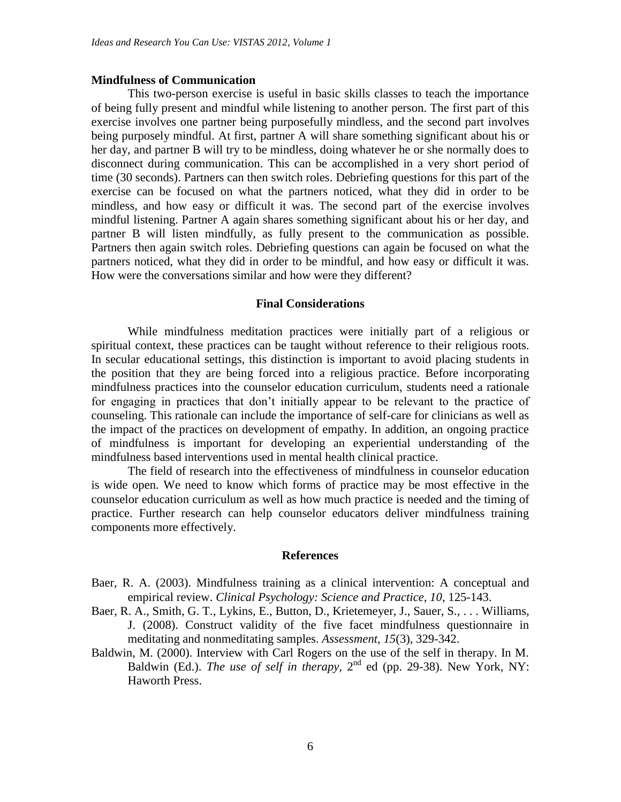#### **Mindfulness of Communication**

This two-person exercise is useful in basic skills classes to teach the importance of being fully present and mindful while listening to another person. The first part of this exercise involves one partner being purposefully mindless, and the second part involves being purposely mindful. At first, partner A will share something significant about his or her day, and partner B will try to be mindless, doing whatever he or she normally does to disconnect during communication. This can be accomplished in a very short period of time (30 seconds). Partners can then switch roles. Debriefing questions for this part of the exercise can be focused on what the partners noticed, what they did in order to be mindless, and how easy or difficult it was. The second part of the exercise involves mindful listening. Partner A again shares something significant about his or her day, and partner B will listen mindfully, as fully present to the communication as possible. Partners then again switch roles. Debriefing questions can again be focused on what the partners noticed, what they did in order to be mindful, and how easy or difficult it was. How were the conversations similar and how were they different?

#### **Final Considerations**

While mindfulness meditation practices were initially part of a religious or spiritual context, these practices can be taught without reference to their religious roots. In secular educational settings, this distinction is important to avoid placing students in the position that they are being forced into a religious practice. Before incorporating mindfulness practices into the counselor education curriculum, students need a rationale for engaging in practices that don't initially appear to be relevant to the practice of counseling. This rationale can include the importance of self-care for clinicians as well as the impact of the practices on development of empathy. In addition, an ongoing practice of mindfulness is important for developing an experiential understanding of the mindfulness based interventions used in mental health clinical practice.

The field of research into the effectiveness of mindfulness in counselor education is wide open. We need to know which forms of practice may be most effective in the counselor education curriculum as well as how much practice is needed and the timing of practice. Further research can help counselor educators deliver mindfulness training components more effectively.

#### **References**

- Baer, R. A. (2003). Mindfulness training as a clinical intervention: A conceptual and empirical review. *Clinical Psychology: Science and Practice, 10*, 125-143.
- Baer, R. A., Smith, G. T., Lykins, E., Button, D., Krietemeyer, J., Sauer, S., . . . Williams, J. (2008). Construct validity of the five facet mindfulness questionnaire in meditating and nonmeditating samples. *Assessment, 15*(3), 329-342.
- Baldwin, M. (2000). Interview with Carl Rogers on the use of the self in therapy. In M. Baldwin (Ed.). *The use of self in therapy*,  $2<sup>nd</sup>$  ed (pp. 29-38). New York, NY: Haworth Press.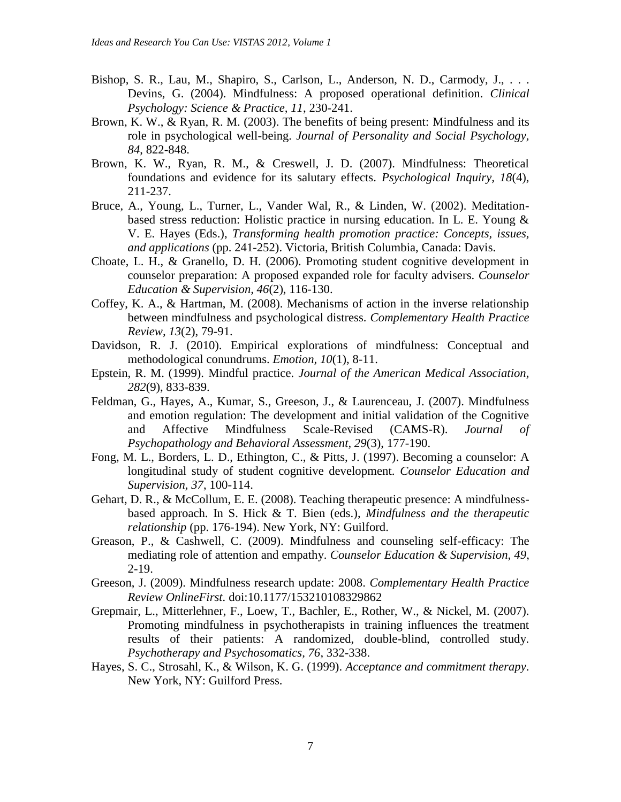- Bishop, S. R., Lau, M., Shapiro, S., Carlson, L., Anderson, N. D., Carmody, J., ... Devins, G. (2004). Mindfulness: A proposed operational definition. *Clinical Psychology: Science & Practice, 11*, 230-241.
- Brown, K. W., & Ryan, R. M. (2003). The benefits of being present: Mindfulness and its role in psychological well-being. *Journal of Personality and Social Psychology, 84*, 822-848.
- Brown, K. W., Ryan, R. M., & Creswell, J. D. (2007). Mindfulness: Theoretical foundations and evidence for its salutary effects. *Psychological Inquiry, 18*(4), 211-237.
- Bruce, A., Young, L., Turner, L., Vander Wal, R., & Linden, W. (2002). Meditationbased stress reduction: Holistic practice in nursing education. In L. E. Young & V. E. Hayes (Eds.), *Transforming health promotion practice: Concepts, issues, and applications* (pp. 241-252). Victoria, British Columbia, Canada: Davis.
- Choate, L. H., & Granello, D. H. (2006). Promoting student cognitive development in counselor preparation: A proposed expanded role for faculty advisers. *Counselor Education & Supervision, 46*(2), 116-130.
- Coffey, K. A., & Hartman, M. (2008). Mechanisms of action in the inverse relationship between mindfulness and psychological distress. *Complementary Health Practice Review, 13*(2), 79-91.
- Davidson, R. J. (2010). Empirical explorations of mindfulness: Conceptual and methodological conundrums. *Emotion, 10*(1), 8-11.
- Epstein, R. M. (1999). Mindful practice. *Journal of the American Medical Association, 282*(9), 833-839.
- Feldman, G., Hayes, A., Kumar, S., Greeson, J., & Laurenceau, J. (2007). Mindfulness and emotion regulation: The development and initial validation of the Cognitive and Affective Mindfulness Scale-Revised (CAMS-R). *Journal of Psychopathology and Behavioral Assessment, 29*(3), 177-190.
- Fong, M. L., Borders, L. D., Ethington, C., & Pitts, J. (1997). Becoming a counselor: A longitudinal study of student cognitive development. *Counselor Education and Supervision, 37*, 100-114.
- Gehart, D. R., & McCollum, E. E. (2008). Teaching therapeutic presence: A mindfulnessbased approach. In S. Hick & T. Bien (eds.), *Mindfulness and the therapeutic relationship* (pp. 176-194). New York, NY: Guilford.
- Greason, P., & Cashwell, C. (2009). Mindfulness and counseling self-efficacy: The mediating role of attention and empathy. *Counselor Education & Supervision, 49*, 2-19.
- Greeson, J. (2009). Mindfulness research update: 2008. *Complementary Health Practice Review OnlineFirst.* doi:10.1177/153210108329862
- Grepmair, L., Mitterlehner, F., Loew, T., Bachler, E., Rother, W., & Nickel, M. (2007). Promoting mindfulness in psychotherapists in training influences the treatment results of their patients: A randomized, double-blind, controlled study. *Psychotherapy and Psychosomatics, 76*, 332-338.
- Hayes, S. C., Strosahl, K., & Wilson, K. G. (1999). *Acceptance and commitment therapy*. New York, NY: Guilford Press.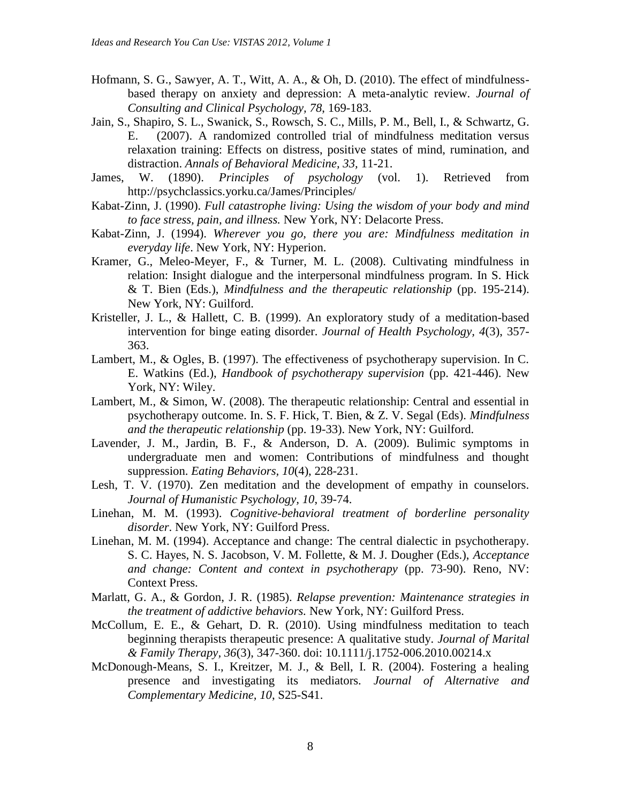- Hofmann, S. G., Sawyer, A. T., Witt, A. A., & Oh, D. (2010). The effect of mindfulnessbased therapy on anxiety and depression: A meta-analytic review. *Journal of Consulting and Clinical Psychology, 78*, 169-183.
- Jain, S., Shapiro, S. L., Swanick, S., Rowsch, S. C., Mills, P. M., Bell, I., & Schwartz, G. E. (2007). A randomized controlled trial of mindfulness meditation versus relaxation training: Effects on distress, positive states of mind, rumination, and distraction. *Annals of Behavioral Medicine, 33,* 11-21.
- James, W. (1890). *Principles of psychology* (vol. 1). Retrieved from http://psychclassics.yorku.ca/James/Principles/
- Kabat-Zinn, J. (1990). *Full catastrophe living: Using the wisdom of your body and mind to face stress, pain, and illness.* New York, NY: Delacorte Press.
- Kabat-Zinn, J. (1994). *Wherever you go, there you are: Mindfulness meditation in everyday life*. New York, NY: Hyperion.
- Kramer, G., Meleo-Meyer, F., & Turner, M. L. (2008). Cultivating mindfulness in relation: Insight dialogue and the interpersonal mindfulness program. In S. Hick & T. Bien (Eds.), *Mindfulness and the therapeutic relationship* (pp. 195-214). New York, NY: Guilford.
- Kristeller, J. L., & Hallett, C. B. (1999). An exploratory study of a meditation-based intervention for binge eating disorder. *Journal of Health Psychology, 4*(3), 357- 363.
- Lambert, M., & Ogles, B. (1997). The effectiveness of psychotherapy supervision. In C. E. Watkins (Ed.), *Handbook of psychotherapy supervision* (pp. 421-446). New York, NY: Wiley.
- Lambert, M., & Simon, W. (2008). The therapeutic relationship: Central and essential in psychotherapy outcome. In. S. F. Hick, T. Bien, & Z. V. Segal (Eds). *Mindfulness and the therapeutic relationship* (pp. 19-33). New York, NY: Guilford.
- Lavender, J. M., Jardin, B. F., & Anderson, D. A. (2009). Bulimic symptoms in undergraduate men and women: Contributions of mindfulness and thought suppression. *Eating Behaviors, 10*(4), 228-231.
- Lesh, T. V. (1970). Zen meditation and the development of empathy in counselors. *Journal of Humanistic Psychology, 10*, 39-74.
- Linehan, M. M. (1993). *Cognitive-behavioral treatment of borderline personality disorder*. New York, NY: Guilford Press.
- Linehan, M. M. (1994). Acceptance and change: The central dialectic in psychotherapy. S. C. Hayes, N. S. Jacobson, V. M. Follette, & M. J. Dougher (Eds.), *Acceptance and change: Content and context in psychotherapy* (pp. 73-90). Reno, NV: Context Press.
- Marlatt, G. A., & Gordon, J. R. (1985). *Relapse prevention: Maintenance strategies in the treatment of addictive behaviors.* New York, NY: Guilford Press.
- McCollum, E. E., & Gehart, D. R. (2010). Using mindfulness meditation to teach beginning therapists therapeutic presence: A qualitative study. *Journal of Marital & Family Therapy, 36*(3), 347-360. doi: 10.1111/j.1752-006.2010.00214.x
- McDonough-Means, S. I., Kreitzer, M. J., & Bell, I. R. (2004). Fostering a healing presence and investigating its mediators. *Journal of Alternative and Complementary Medicine, 10*, S25-S41.